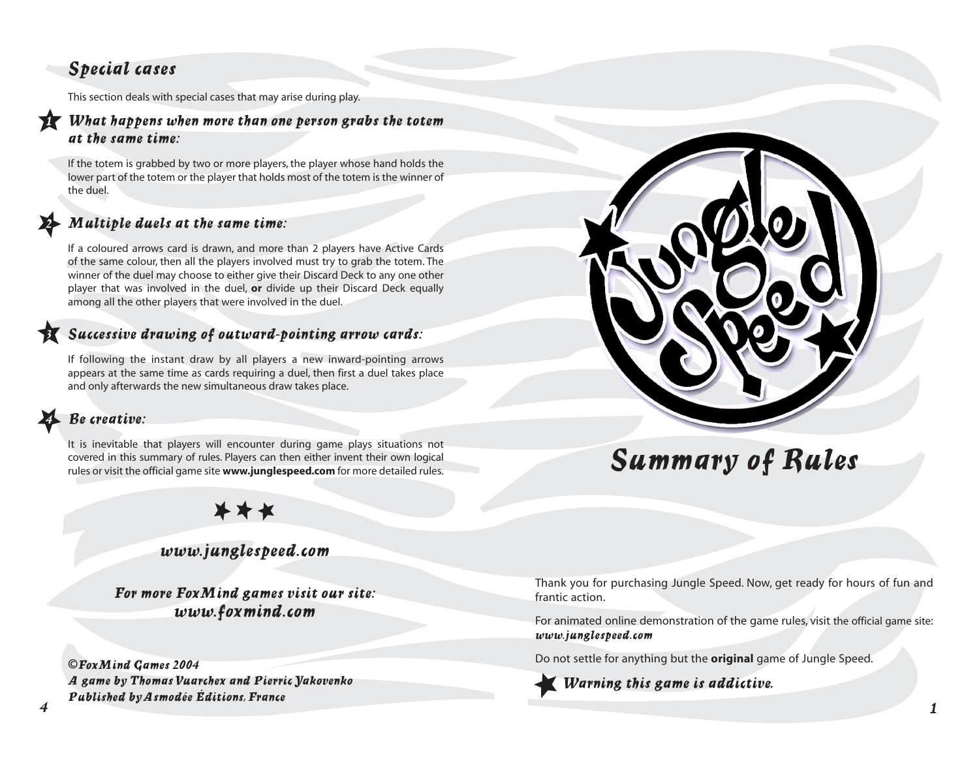# *Special cases*

This section deals with special cases that may arise during play.

#### *<sup>1</sup> What happens when more than one person grabs the totem at the same time:*

If the totem is grabbed by two or more players, the player whose hand holds the lower part of the totem or the player that holds most of the totem is the winner of the duel.

#### *<sup>2</sup> Multiple duels at the same time:*

If a coloured arrows card is drawn, and more than 2 players have Active Cards of the same colour, then all the players involved must try to grab the totem. The winner of the duel may choose to either give their Discard Deck to any one other player that was involved in the duel, **or** divide up their Discard Deck equally among all the other players that were involved in the duel.

#### *<sup>3</sup> Successive drawing of outward-pointing arrow cards:*

If following the instant draw by all players a new inward-pointing arrows appears at the same time as cards requiring a duel, then first a duel takes place and only afterwards the new simultaneous draw takes place.

# *4 Be creative:*

It is inevitable that players will encounter during game plays situations not covered in this summary of rules. Players can then either invent their own logical rules or visit the official game site **www.junglespeed.com** for more detailed rules.



# *Summary of Rules*

# \*\*\*

#### *www.junglespeed.com*

*For more FoxMind games visit our site: www.foxmind.com*

*4 1* **©***FoxMind Games 2004 A game by Thomas Vuarchex and Pierric Yakovenko Published by Asmodée Éditions, France*

Thank you for purchasing Jungle Speed. Now, get ready for hours of fun and frantic action.

For animated online demonstration of the game rules, visit the official game site: *www.junglespeed.com* 

Do not settle for anything but the **original** game of Jungle Speed.

*Warning this game is addictive.*